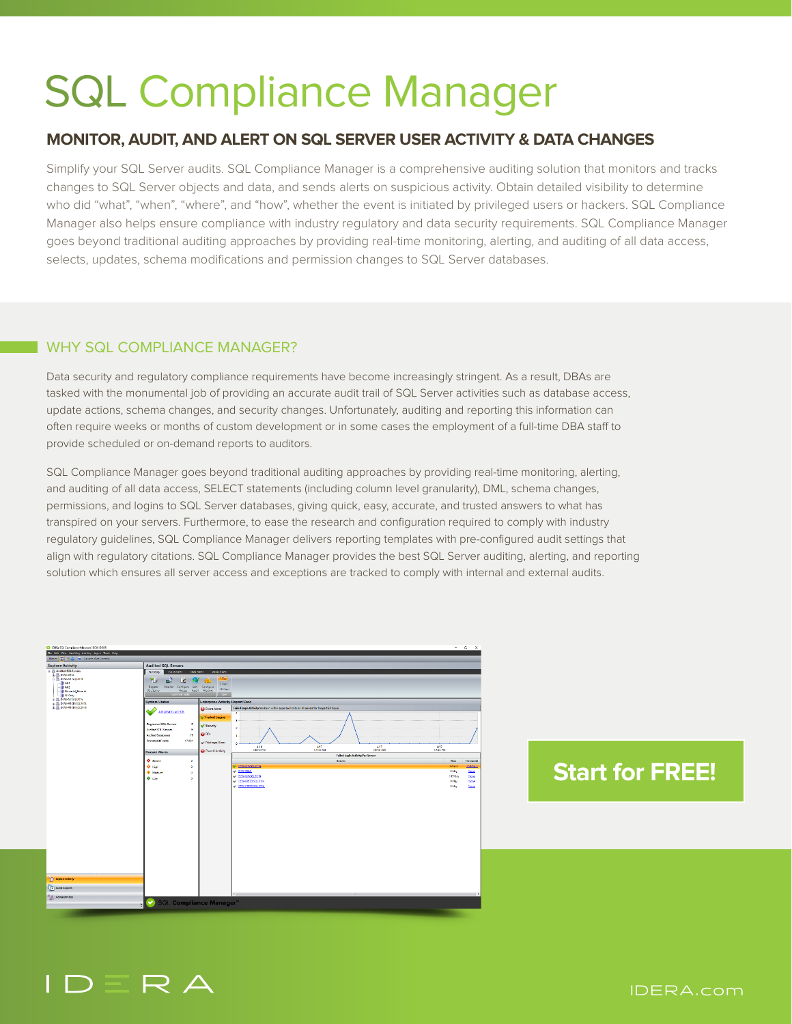# SQL Compliance Manager

### **MONITOR, AUDIT, AND ALERT ON SQL SERVER USER ACTIVITY & DATA CHANGES**

Simplify your SQL Server audits. SQL Compliance Manager is a comprehensive auditing solution that monitors and tracks changes to SQL Server objects and data, and sends alerts on suspicious activity. Obtain detailed visibility to determine who did "what", "when", "where", and "how", whether the event is initiated by privileged users or hackers. SQL Compliance Manager also helps ensure compliance with industry regulatory and data security requirements. SQL Compliance Manager goes beyond traditional auditing approaches by providing real-time monitoring, alerting, and auditing of all data access, selects, updates, schema modifications and permission changes to SQL Server databases.

#### WHY SQL COMPLIANCE MANAGER?

Data security and regulatory compliance requirements have become increasingly stringent. As a result, DBAs are tasked with the monumental job of providing an accurate audit trail of SQL Server activities such as database access, update actions, schema changes, and security changes. Unfortunately, auditing and reporting this information can often require weeks or months of custom development or in some cases the employment of a full-time DBA staff to provide scheduled or on-demand reports to auditors.

SQL Compliance Manager goes beyond traditional auditing approaches by providing real-time monitoring, alerting, and auditing of all data access, SELECT statements (including column level granularity), DML, schema changes, permissions, and logins to SQL Server databases, giving quick, easy, accurate, and trusted answers to what has transpired on your servers. Furthermore, to ease the research and configuration required to comply with industry regulatory guidelines, SQL Compliance Manager delivers reporting templates with pre-configured audit settings that align with regulatory citations. SQL Compliance Manager provides the best SQL Server auditing, alerting, and reporting solution which ensures all server access and exceptions are tracked to comply with internal and external audits.

| <b>Call EBRA SCE Compliance Manager (DEW EEVE)</b><br>Fix filk View Auditing Alarting Agent Tools Help                                                            |                                                                |                                       |                                                                                            | $\sim$<br>$\sim$<br>$\mathbf{x}$           |
|-------------------------------------------------------------------------------------------------------------------------------------------------------------------|----------------------------------------------------------------|---------------------------------------|--------------------------------------------------------------------------------------------|--------------------------------------------|
| New - E - C - C - Insert Web Consider                                                                                                                             |                                                                |                                       |                                                                                            |                                            |
|                                                                                                                                                                   |                                                                |                                       |                                                                                            |                                            |
| <b>Explore Activity</b><br>E in Audtei SCL Server                                                                                                                 | <b>Audited SQL Servers</b>                                     |                                       |                                                                                            |                                            |
| is the pow-beve<br>DE DOWNENSERVA<br>301<br>$-144$<br>- I Financial Records<br>- NICely<br>ie Ca DOW-NOVICE 2014<br>is a pow-recostance<br>is in DOM-PRODISOLARIS | Data Medic<br>Status Alerts<br><b>Event Alects</b><br>Summary: |                                       |                                                                                            |                                            |
|                                                                                                                                                                   | 西<br>c<br>œ                                                    | 1 Days                                |                                                                                            |                                            |
|                                                                                                                                                                   | Monitor Configure Self- Configure<br>Register                  | 7 Days                                |                                                                                            |                                            |
|                                                                                                                                                                   | $30$ Days<br>501 Server<br>Access Audit Alertine<br>_          |                                       |                                                                                            |                                            |
|                                                                                                                                                                   |                                                                |                                       |                                                                                            |                                            |
|                                                                                                                                                                   | <b>System Status</b>                                           | <b>Lnterpnse Activity Heport Card</b> |                                                                                            |                                            |
|                                                                                                                                                                   | All servers are OK                                             | <b>Ca</b> Event Alerto                | Failed Login Activity has been within expected limits on all servers for the past 24 hours |                                            |
|                                                                                                                                                                   |                                                                | <sup>O</sup> Failed Logins            |                                                                                            |                                            |
|                                                                                                                                                                   | Registered SQL Servers<br>s                                    |                                       | ٠                                                                                          |                                            |
|                                                                                                                                                                   | Audited SQL Security<br>s                                      | Security                              | ٠                                                                                          |                                            |
|                                                                                                                                                                   | $\mathbf{r}$<br>Audited Databases                              | @00L                                  | ٠                                                                                          |                                            |
|                                                                                                                                                                   | <b>Processed Events</b><br>17,391                              |                                       |                                                                                            |                                            |
|                                                                                                                                                                   |                                                                | or Privileged User                    | ٠<br>487<br>416                                                                            | 417                                        |
|                                                                                                                                                                   | <b>Recent Alerts</b>                                           | @ Ownell Activity                     | 4207<br>12:08:588<br>GECO AM<br>08:00 PM                                                   | 12.00 FM                                   |
|                                                                                                                                                                   |                                                                |                                       | Falled Login Activity Per Server                                                           |                                            |
|                                                                                                                                                                   | O down<br>۰                                                    |                                       | <b>Sorror</b>                                                                              | Max<br>Threshold                           |
|                                                                                                                                                                   | O Hall<br>۰                                                    |                                       | <b>CONNINSCIEDING</b><br>w powietno                                                        | 2/hour<br>100/662<br><b>Bilday</b><br>Mone |
|                                                                                                                                                                   | <b>Contact Only</b><br>$\circ$                                 |                                       | V DOWNZ-SQL2016                                                                            | 167/day<br>Mont                            |
|                                                                                                                                                                   | 4.10 <sub>W</sub><br>۰                                         |                                       | - RON-RICO/SQ 2014                                                                         | O/day<br>Mone                              |
|                                                                                                                                                                   |                                                                |                                       | EXV-PRODUCED 16</td <td>O/day<br/>Mone</td>                                                | O/day<br>Mone                              |
|                                                                                                                                                                   |                                                                |                                       |                                                                                            |                                            |
|                                                                                                                                                                   |                                                                |                                       |                                                                                            |                                            |
|                                                                                                                                                                   |                                                                |                                       |                                                                                            |                                            |
|                                                                                                                                                                   |                                                                |                                       |                                                                                            |                                            |
|                                                                                                                                                                   |                                                                |                                       |                                                                                            |                                            |
|                                                                                                                                                                   |                                                                |                                       |                                                                                            |                                            |
|                                                                                                                                                                   |                                                                |                                       |                                                                                            |                                            |
|                                                                                                                                                                   |                                                                |                                       |                                                                                            |                                            |
|                                                                                                                                                                   |                                                                |                                       |                                                                                            |                                            |
|                                                                                                                                                                   |                                                                |                                       |                                                                                            |                                            |
|                                                                                                                                                                   |                                                                |                                       |                                                                                            |                                            |
|                                                                                                                                                                   |                                                                |                                       |                                                                                            |                                            |
|                                                                                                                                                                   |                                                                |                                       |                                                                                            |                                            |
|                                                                                                                                                                   |                                                                |                                       |                                                                                            |                                            |
|                                                                                                                                                                   |                                                                |                                       |                                                                                            |                                            |
| <b>C</b> Explore Activity                                                                                                                                         |                                                                |                                       |                                                                                            |                                            |
| Aufil Reports                                                                                                                                                     |                                                                |                                       |                                                                                            |                                            |
|                                                                                                                                                                   |                                                                |                                       |                                                                                            |                                            |
| Administration                                                                                                                                                    |                                                                |                                       |                                                                                            |                                            |
| ÷                                                                                                                                                                 | ●<br><b>SQL Compliance Manager</b> "                           |                                       |                                                                                            |                                            |
|                                                                                                                                                                   |                                                                |                                       |                                                                                            |                                            |

## **[Start for FREE!](https://www.idera.com/productssolutions/sqlserver/sqlcompliancemanager/freetrialsubscriptionform?utm_medium=inasset&utm_content=pdf&utm_source=datasheet&utm_campaign=sqlcompliancemanager)**